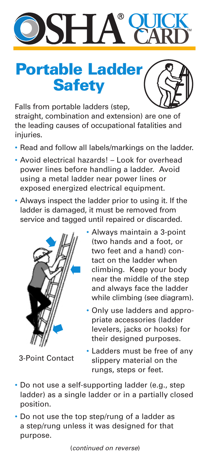## **QUICK CARD** TM

## **Portable Ladder Safety**

Falls from portable ladders (step, straight, combination and extension) are one of the leading causes of occupational fatalities and injuries.

- Read and follow all labels/markings on the ladder.
- Avoid electrical hazards! Look for overhead power lines before handling a ladder. Avoid using a metal ladder near power lines or exposed energized electrical equipment.
- Always inspect the ladder prior to using it. If the ladder is damaged, it must be removed from service and tagged until repaired or discarded.



3-Point Contact

- Always maintain a 3-point (two hands and a foot, or two feet and a hand) contact on the ladder when climbing. Keep your body near the middle of the step and always face the ladder while climbing (see diagram).
- Only use ladders and appropriate accessories (ladder levelers, jacks or hooks) for their designed purposes.
- Ladders must be free of any slippery material on the rungs, steps or feet.
- Do not use a self-supporting ladder (e.g., step ladder) as a single ladder or in a partially closed position.
- Do not use the top step/rung of a ladder as a step/rung unless it was designed for that purpose.